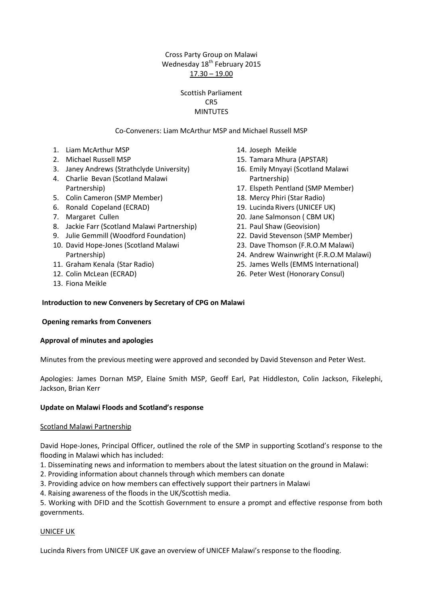# Cross Party Group on Malawi Wednesday 18<sup>th</sup> February 2015  $17.30 - 19.00$

# Scottish Parliament CR5 **MINTUTES**

# Co-Conveners: Liam McArthur MSP and Michael Russell MSP

- 1. Liam McArthur MSP
- 2. Michael Russell MSP
- 3. Janey Andrews (Strathclyde University)
- 4. Charlie Bevan (Scotland Malawi Partnership)
- 5. Colin Cameron (SMP Member)
- 6. Ronald Copeland (ECRAD)
- 7. Margaret Cullen
- 8. Jackie Farr (Scotland Malawi Partnership)
- 9. Julie Gemmill (Woodford Foundation)
- 10. David Hope-Jones (Scotland Malawi Partnership)
- 11. Graham Kenala (Star Radio)
- 12. Colin McLean (ECRAD)
- 13. Fiona Meikle
- 14. Joseph Meikle
- 15. Tamara Mhura (APSTAR)
- 16. Emily Mnyayi (Scotland Malawi Partnership)
- 17. Elspeth Pentland (SMP Member)
- 18. Mercy Phiri (Star Radio)
- 19. Lucinda Rivers (UNICEF UK)
- 20. Jane Salmonson ( CBM UK)
- 21. Paul Shaw (Geovision)
- 22. David Stevenson (SMP Member)
- 23. Dave Thomson (F.R.O.M Malawi)
- 24. Andrew Wainwright (F.R.O.M Malawi)
- 25. James Wells (EMMS International)
- 26. Peter West (Honorary Consul)

## **Introduction to new Conveners by Secretary of CPG on Malawi**

#### **Opening remarks from Conveners**

#### **Approval of minutes and apologies**

Minutes from the previous meeting were approved and seconded by David Stevenson and Peter West.

Apologies: James Dornan MSP, Elaine Smith MSP, Geoff Earl, Pat Hiddleston, Colin Jackson, Fikelephi, Jackson, Brian Kerr

## **Update on Malawi Floods and Scotland's response**

#### Scotland Malawi Partnership

David Hope-Jones, Principal Officer, outlined the role of the SMP in supporting Scotland's response to the flooding in Malawi which has included:

- 1. Disseminating news and information to members about the latest situation on the ground in Malawi:
- 2. Providing information about channels through which members can donate
- 3. Providing advice on how members can effectively support their partners in Malawi
- 4. Raising awareness of the floods in the UK/Scottish media.

5. Working with DFID and the Scottish Government to ensure a prompt and effective response from both governments.

#### UNICEF UK

Lucinda Rivers from UNICEF UK gave an overview of UNICEF Malawi's response to the flooding.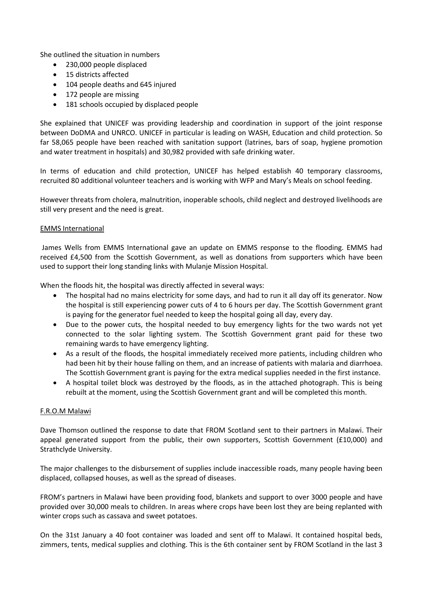She outlined the situation in numbers

- 230,000 people displaced
- 15 districts affected
- 104 people deaths and 645 injured
- 172 people are missing
- 181 schools occupied by displaced people

She explained that UNICEF was providing leadership and coordination in support of the joint response between DoDMA and UNRCO. UNICEF in particular is leading on WASH, Education and child protection. So far 58,065 people have been reached with sanitation support (latrines, bars of soap, hygiene promotion and water treatment in hospitals) and 30,982 provided with safe drinking water.

In terms of education and child protection, UNICEF has helped establish 40 temporary classrooms, recruited 80 additional volunteer teachers and is working with WFP and Mary's Meals on school feeding.

However threats from cholera, malnutrition, inoperable schools, child neglect and destroyed livelihoods are still very present and the need is great.

# EMMS International

James Wells from EMMS International gave an update on EMMS response to the flooding. EMMS had received £4,500 from the Scottish Government, as well as donations from supporters which have been used to support their long standing links with Mulanje Mission Hospital.

When the floods hit, the hospital was directly affected in several ways:

- The hospital had no mains electricity for some days, and had to run it all day off its generator. Now the hospital is still experiencing power cuts of 4 to 6 hours per day. The Scottish Government grant is paying for the generator fuel needed to keep the hospital going all day, every day.
- Due to the power cuts, the hospital needed to buy emergency lights for the two wards not yet connected to the solar lighting system. The Scottish Government grant paid for these two remaining wards to have emergency lighting.
- As a result of the floods, the hospital immediately received more patients, including children who had been hit by their house falling on them, and an increase of patients with malaria and diarrhoea. The Scottish Government grant is paying for the extra medical supplies needed in the first instance.
- A hospital toilet block was destroyed by the floods, as in the attached photograph. This is being rebuilt at the moment, using the Scottish Government grant and will be completed this month.

#### F.R.O.M Malawi

Dave Thomson outlined the response to date that FROM Scotland sent to their partners in Malawi. Their appeal generated support from the public, their own supporters, Scottish Government (£10,000) and Strathclyde University.

The major challenges to the disbursement of supplies include inaccessible roads, many people having been displaced, collapsed houses, as well as the spread of diseases.

FROM's partners in Malawi have been providing food, blankets and support to over 3000 people and have provided over 30,000 meals to children. In areas where crops have been lost they are being replanted with winter crops such as cassava and sweet potatoes.

On the 31st January a 40 foot container was loaded and sent off to Malawi. It contained hospital beds, zimmers, tents, medical supplies and clothing. This is the 6th container sent by FROM Scotland in the last 3